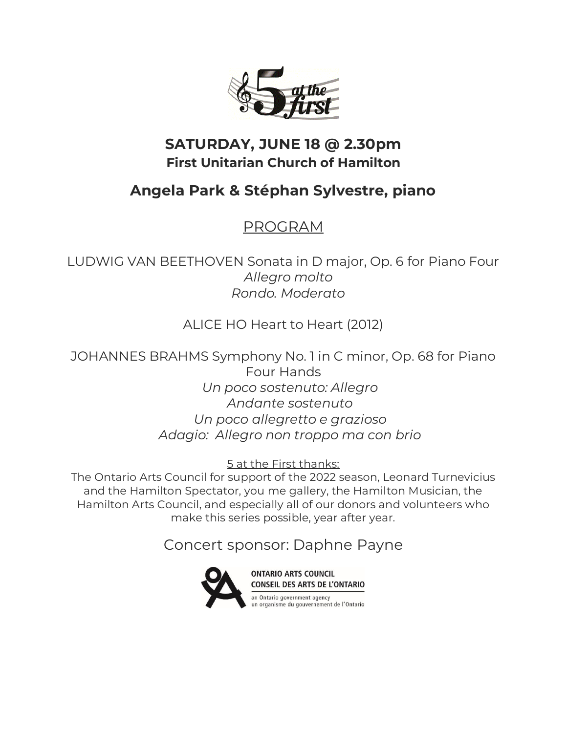

## **SATURDAY, JUNE 18 @ 2.30pm First Unitarian Church of Hamilton**

## **Angela Park & Stéphan Sylvestre, piano**

## PROGRAM

LUDWIG VAN BEETHOVEN Sonata in D major, Op. 6 for Piano Four  *Allegro molto Rondo. Moderato*

ALICE HO Heart to Heart (2012)

JOHANNES BRAHMS Symphony No. 1 in C minor, Op. 68 for Piano Four Hands  *Un poco sostenuto: Allegro Andante sostenuto Un poco allegretto e grazioso Adagio: Allegro non troppo ma con brio*

5 at the First thanks:

The Ontario Arts Council for support of the 2022 season, Leonard Turnevicius and the Hamilton Spectator, you me gallery, the Hamilton Musician, the Hamilton Arts Council, and especially all of our donors and volunteers who make this series possible, year after year.

Concert sponsor: Daphne Payne



**ONTARIO ARTS COUNCIL** CONSEIL DES ARTS DE L'ONTARIO

an Ontario government agency<br>un organisme du gouvernement de l'Ontario